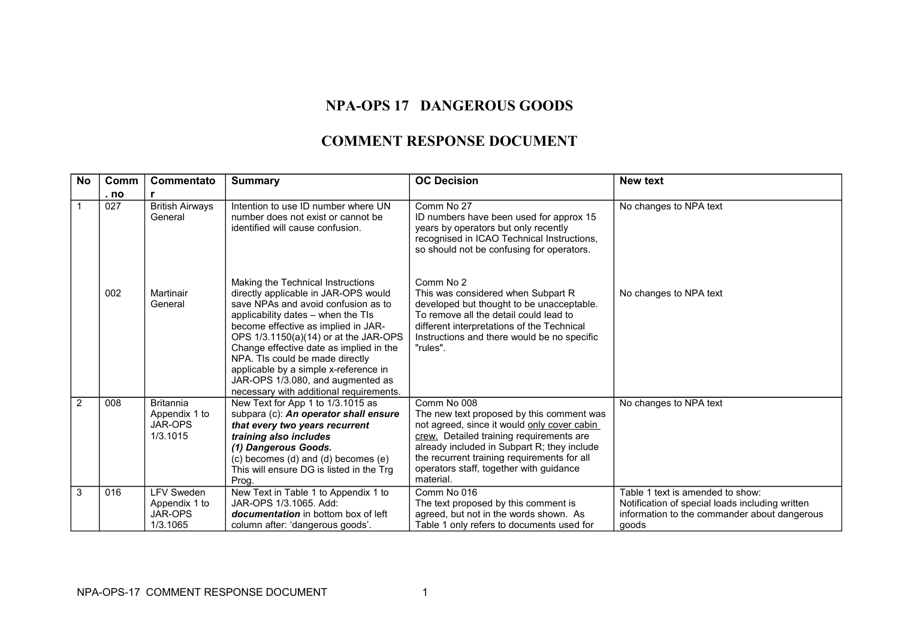## **NPA-OPS 17 DANGEROUS GOODS**

## **COMMENT RESPONSE DOCUMENT**

| <b>No</b>      | <b>Comm</b> | Commentato                                                | <b>Summary</b>                                                                                                                                                                                                                                                                                                                                                                                                                                | <b>OC Decision</b>                                                                                                                                                                                                                                                                                        | New text                                                                                                                                     |
|----------------|-------------|-----------------------------------------------------------|-----------------------------------------------------------------------------------------------------------------------------------------------------------------------------------------------------------------------------------------------------------------------------------------------------------------------------------------------------------------------------------------------------------------------------------------------|-----------------------------------------------------------------------------------------------------------------------------------------------------------------------------------------------------------------------------------------------------------------------------------------------------------|----------------------------------------------------------------------------------------------------------------------------------------------|
|                | . no        |                                                           |                                                                                                                                                                                                                                                                                                                                                                                                                                               |                                                                                                                                                                                                                                                                                                           |                                                                                                                                              |
| $\overline{1}$ | 027         | <b>British Airways</b><br>General                         | Intention to use ID number where UN<br>number does not exist or cannot be<br>identified will cause confusion.                                                                                                                                                                                                                                                                                                                                 | Comm No 27<br>ID numbers have been used for approx 15<br>years by operators but only recently<br>recognised in ICAO Technical Instructions,<br>so should not be confusing for operators.                                                                                                                  | No changes to NPA text                                                                                                                       |
|                | 002         | Martinair<br>General                                      | Making the Technical Instructions<br>directly applicable in JAR-OPS would<br>save NPAs and avoid confusion as to<br>applicability dates – when the TIs<br>become effective as implied in JAR-<br>OPS 1/3.1150(a)(14) or at the JAR-OPS<br>Change effective date as implied in the<br>NPA. TIs could be made directly<br>applicable by a simple x-reference in<br>JAR-OPS 1/3.080, and augmented as<br>necessary with additional requirements. | Comm No 2<br>This was considered when Subpart R<br>developed but thought to be unacceptable.<br>To remove all the detail could lead to<br>different interpretations of the Technical<br>Instructions and there would be no specific<br>"rules".                                                           | No changes to NPA text                                                                                                                       |
| $\overline{2}$ | 008         | <b>Britannia</b><br>Appendix 1 to<br>JAR-OPS<br>1/3.1015  | New Text for App 1 to 1/3.1015 as<br>subpara (c): An operator shall ensure<br>that every two years recurrent<br>training also includes<br>(1) Dangerous Goods.<br>(c) becomes (d) and (d) becomes (e)<br>This will ensure DG is listed in the Trg<br>Prog.                                                                                                                                                                                    | Comm No 008<br>The new text proposed by this comment was<br>not agreed, since it would only cover cabin<br>crew. Detailed training requirements are<br>already included in Subpart R; they include<br>the recurrent training requirements for all<br>operators staff, together with guidance<br>material. | No changes to NPA text                                                                                                                       |
| 3              | 016         | <b>LFV Sweden</b><br>Appendix 1 to<br>JAR-OPS<br>1/3.1065 | New Text in Table 1 to Appendix 1 to<br>JAR-OPS 1/3.1065. Add:<br>documentation in bottom box of left<br>column after: 'dangerous goods'.                                                                                                                                                                                                                                                                                                     | Comm No 016<br>The text proposed by this comment is<br>agreed, but not in the words shown. As<br>Table 1 only refers to documents used for                                                                                                                                                                | Table 1 text is amended to show:<br>Notification of special loads including written<br>information to the commander about dangerous<br>goods |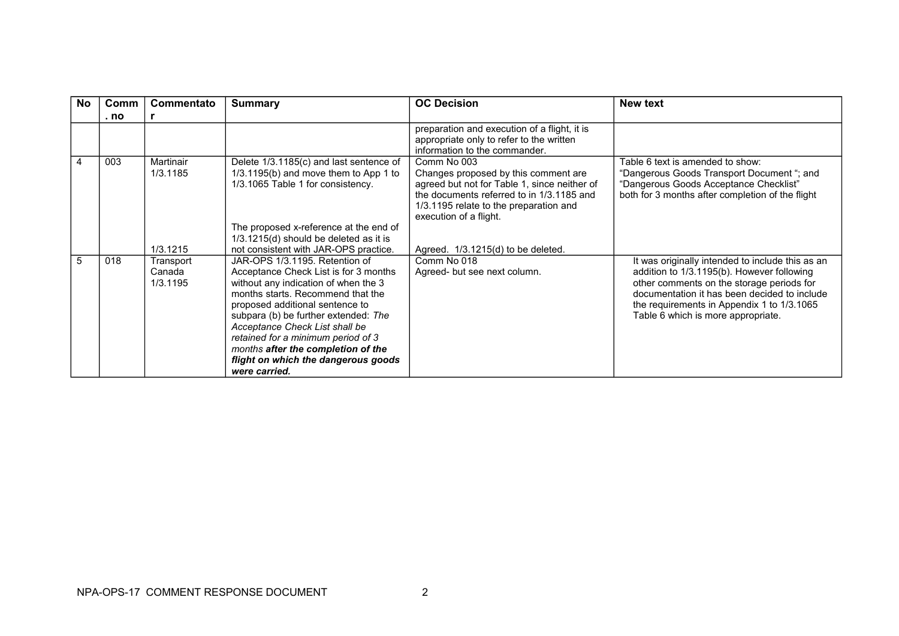| No. | Comm<br>. no | Commentato                      | <b>Summary</b>                                                                                                                                                                                                                                                                                                                                                                                        | <b>OC Decision</b>                                                                                                                                                                                                   | <b>New text</b>                                                                                                                                                                                                                                                                 |
|-----|--------------|---------------------------------|-------------------------------------------------------------------------------------------------------------------------------------------------------------------------------------------------------------------------------------------------------------------------------------------------------------------------------------------------------------------------------------------------------|----------------------------------------------------------------------------------------------------------------------------------------------------------------------------------------------------------------------|---------------------------------------------------------------------------------------------------------------------------------------------------------------------------------------------------------------------------------------------------------------------------------|
|     |              |                                 |                                                                                                                                                                                                                                                                                                                                                                                                       | preparation and execution of a flight, it is<br>appropriate only to refer to the written<br>information to the commander.                                                                                            |                                                                                                                                                                                                                                                                                 |
| 4   | 003          | Martinair<br>1/3.1185           | Delete 1/3.1185(c) and last sentence of<br>$1/3.1195(b)$ and move them to App 1 to<br>1/3.1065 Table 1 for consistency.                                                                                                                                                                                                                                                                               | Comm No 003<br>Changes proposed by this comment are<br>agreed but not for Table 1, since neither of<br>the documents referred to in 1/3.1185 and<br>1/3.1195 relate to the preparation and<br>execution of a flight. | Table 6 text is amended to show:<br>"Dangerous Goods Transport Document "; and<br>"Dangerous Goods Acceptance Checklist"<br>both for 3 months after completion of the flight                                                                                                    |
|     |              | 1/3.1215                        | The proposed x-reference at the end of<br>1/3.1215(d) should be deleted as it is<br>not consistent with JAR-OPS practice.                                                                                                                                                                                                                                                                             | Agreed. 1/3.1215(d) to be deleted.                                                                                                                                                                                   |                                                                                                                                                                                                                                                                                 |
| 5   | 018          | Transport<br>Canada<br>1/3.1195 | JAR-OPS 1/3.1195. Retention of<br>Acceptance Check List is for 3 months<br>without any indication of when the 3<br>months starts. Recommend that the<br>proposed additional sentence to<br>subpara (b) be further extended: The<br>Acceptance Check List shall be<br>retained for a minimum period of 3<br>months after the completion of the<br>flight on which the dangerous goods<br>were carried. | Comm No 018<br>Agreed- but see next column.                                                                                                                                                                          | It was originally intended to include this as an<br>addition to 1/3.1195(b). However following<br>other comments on the storage periods for<br>documentation it has been decided to include<br>the requirements in Appendix 1 to 1/3.1065<br>Table 6 which is more appropriate. |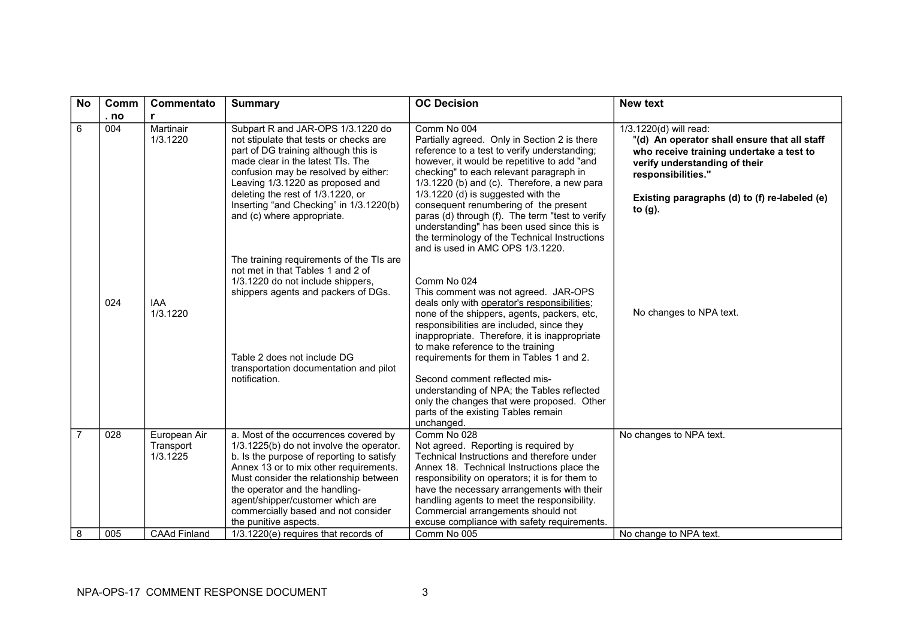| <b>No</b>      | Comm | Commentato                            | <b>Summary</b>                                                                                                                                                                                                                                                                                                                                           | <b>OC Decision</b>                                                                                                                                                                                                                                                                                                                                                                                                                                                                                                        | <b>New text</b>                                                                                                                                                                                                                          |
|----------------|------|---------------------------------------|----------------------------------------------------------------------------------------------------------------------------------------------------------------------------------------------------------------------------------------------------------------------------------------------------------------------------------------------------------|---------------------------------------------------------------------------------------------------------------------------------------------------------------------------------------------------------------------------------------------------------------------------------------------------------------------------------------------------------------------------------------------------------------------------------------------------------------------------------------------------------------------------|------------------------------------------------------------------------------------------------------------------------------------------------------------------------------------------------------------------------------------------|
|                | . no | r                                     |                                                                                                                                                                                                                                                                                                                                                          |                                                                                                                                                                                                                                                                                                                                                                                                                                                                                                                           |                                                                                                                                                                                                                                          |
| 6              | 004  | Martinair<br>1/3.1220                 | Subpart R and JAR-OPS 1/3.1220 do<br>not stipulate that tests or checks are<br>part of DG training although this is<br>made clear in the latest TIs. The<br>confusion may be resolved by either:<br>Leaving 1/3.1220 as proposed and<br>deleting the rest of 1/3.1220, or<br>Inserting "and Checking" in 1/3.1220(b)<br>and (c) where appropriate.       | Comm No 004<br>Partially agreed. Only in Section 2 is there<br>reference to a test to verify understanding;<br>however, it would be repetitive to add "and<br>checking" to each relevant paragraph in<br>1/3.1220 (b) and (c). Therefore, a new para<br>1/3.1220 (d) is suggested with the<br>consequent renumbering of the present<br>paras (d) through (f). The term "test to verify<br>understanding" has been used since this is<br>the terminology of the Technical Instructions<br>and is used in AMC OPS 1/3.1220. | 1/3.1220(d) will read:<br>"(d) An operator shall ensure that all staff<br>who receive training undertake a test to<br>verify understanding of their<br>responsibilities."<br>Existing paragraphs (d) to (f) re-labeled (e)<br>to $(g)$ . |
|                | 024  | <b>IAA</b><br>1/3.1220                | The training requirements of the TIs are<br>not met in that Tables 1 and 2 of<br>1/3.1220 do not include shippers,<br>shippers agents and packers of DGs.<br>Table 2 does not include DG<br>transportation documentation and pilot<br>notification.                                                                                                      | Comm No 024<br>This comment was not agreed. JAR-OPS<br>deals only with operator's responsibilities;<br>none of the shippers, agents, packers, etc,<br>responsibilities are included, since they<br>inappropriate. Therefore, it is inappropriate<br>to make reference to the training<br>requirements for them in Tables 1 and 2.<br>Second comment reflected mis-<br>understanding of NPA; the Tables reflected<br>only the changes that were proposed. Other<br>parts of the existing Tables remain<br>unchanged.       | No changes to NPA text.                                                                                                                                                                                                                  |
| $\overline{7}$ | 028  | European Air<br>Transport<br>1/3.1225 | a. Most of the occurrences covered by<br>1/3.1225(b) do not involve the operator.<br>b. Is the purpose of reporting to satisfy<br>Annex 13 or to mix other requirements.<br>Must consider the relationship between<br>the operator and the handling-<br>agent/shipper/customer which are<br>commercially based and not consider<br>the punitive aspects. | Comm No 028<br>Not agreed. Reporting is required by<br>Technical Instructions and therefore under<br>Annex 18. Technical Instructions place the<br>responsibility on operators; it is for them to<br>have the necessary arrangements with their<br>handling agents to meet the responsibility.<br>Commercial arrangements should not<br>excuse compliance with safety requirements.                                                                                                                                       | No changes to NPA text.                                                                                                                                                                                                                  |
| 8              | 005  | <b>CAAd Finland</b>                   | 1/3.1220(e) requires that records of                                                                                                                                                                                                                                                                                                                     | Comm No 005                                                                                                                                                                                                                                                                                                                                                                                                                                                                                                               | No change to NPA text.                                                                                                                                                                                                                   |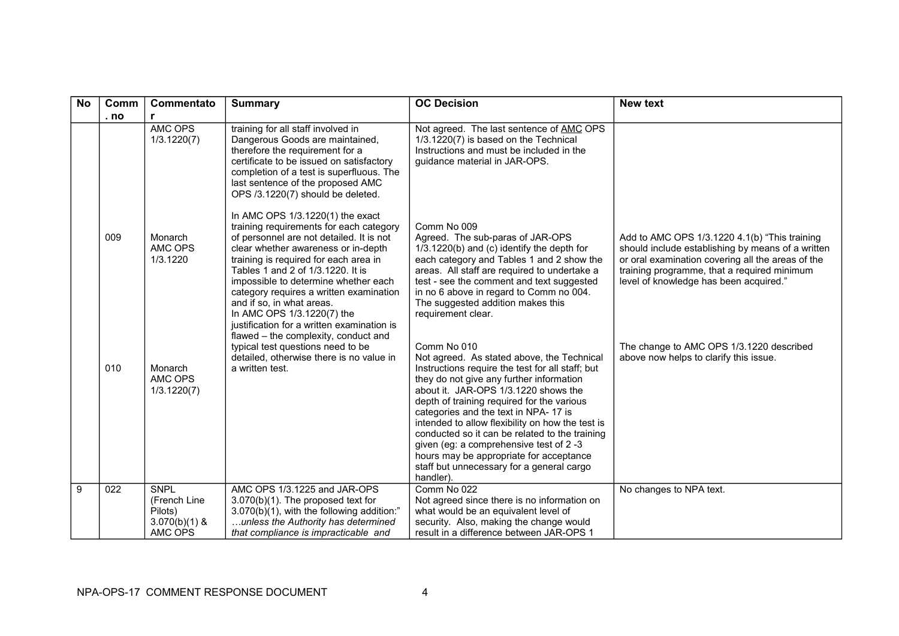| <b>No</b> | Comm | Commentato                                                           | <b>Summary</b>                                                                                                                                                                                                                                                                                                                                                                                                                           | <b>OC Decision</b>                                                                                                                                                                                                                                                                                                                                                                                                                                                                                                                            | <b>New text</b>                                                                                                                                                                                                                                  |
|-----------|------|----------------------------------------------------------------------|------------------------------------------------------------------------------------------------------------------------------------------------------------------------------------------------------------------------------------------------------------------------------------------------------------------------------------------------------------------------------------------------------------------------------------------|-----------------------------------------------------------------------------------------------------------------------------------------------------------------------------------------------------------------------------------------------------------------------------------------------------------------------------------------------------------------------------------------------------------------------------------------------------------------------------------------------------------------------------------------------|--------------------------------------------------------------------------------------------------------------------------------------------------------------------------------------------------------------------------------------------------|
|           | . no | r                                                                    |                                                                                                                                                                                                                                                                                                                                                                                                                                          |                                                                                                                                                                                                                                                                                                                                                                                                                                                                                                                                               |                                                                                                                                                                                                                                                  |
|           |      | <b>AMC OPS</b><br>1/3.1220(7)                                        | training for all staff involved in<br>Dangerous Goods are maintained,<br>therefore the requirement for a<br>certificate to be issued on satisfactory<br>completion of a test is superfluous. The<br>last sentence of the proposed AMC<br>OPS /3.1220(7) should be deleted.                                                                                                                                                               | Not agreed. The last sentence of AMC OPS<br>1/3.1220(7) is based on the Technical<br>Instructions and must be included in the<br>guidance material in JAR-OPS.                                                                                                                                                                                                                                                                                                                                                                                |                                                                                                                                                                                                                                                  |
|           | 009  | Monarch<br>AMC OPS<br>1/3.1220                                       | In AMC OPS 1/3.1220(1) the exact<br>training requirements for each category<br>of personnel are not detailed. It is not<br>clear whether awareness or in-depth<br>training is required for each area in<br>Tables 1 and 2 of 1/3.1220. It is<br>impossible to determine whether each<br>category requires a written examination<br>and if so, in what areas.<br>In AMC OPS 1/3.1220(7) the<br>justification for a written examination is | Comm No 009<br>Agreed. The sub-paras of JAR-OPS<br>1/3.1220(b) and (c) identify the depth for<br>each category and Tables 1 and 2 show the<br>areas. All staff are required to undertake a<br>test - see the comment and text suggested<br>in no 6 above in regard to Comm no 004.<br>The suggested addition makes this<br>requirement clear.                                                                                                                                                                                                 | Add to AMC OPS 1/3.1220 4.1(b) "This training<br>should include establishing by means of a written<br>or oral examination covering all the areas of the<br>training programme, that a required minimum<br>level of knowledge has been acquired." |
|           | 010  | Monarch<br>AMC OPS<br>1/3.1220(7)                                    | flawed – the complexity, conduct and<br>typical test questions need to be<br>detailed, otherwise there is no value in<br>a written test.                                                                                                                                                                                                                                                                                                 | Comm No 010<br>Not agreed. As stated above, the Technical<br>Instructions require the test for all staff; but<br>they do not give any further information<br>about it. JAR-OPS 1/3.1220 shows the<br>depth of training required for the various<br>categories and the text in NPA-17 is<br>intended to allow flexibility on how the test is<br>conducted so it can be related to the training<br>given (eg: a comprehensive test of 2 -3<br>hours may be appropriate for acceptance<br>staff but unnecessary for a general cargo<br>handler). | The change to AMC OPS 1/3.1220 described<br>above now helps to clarify this issue.                                                                                                                                                               |
| 9         | 022  | <b>SNPL</b><br>(French Line<br>Pilots)<br>$3.070(b)(1)$ &<br>AMC OPS | AMC OPS 1/3.1225 and JAR-OPS<br>$3.070(b)(1)$ . The proposed text for<br>3.070(b)(1), with the following addition:"<br>unless the Authority has determined<br>that compliance is impracticable and                                                                                                                                                                                                                                       | Comm No 022<br>Not agreed since there is no information on<br>what would be an equivalent level of<br>security. Also, making the change would<br>result in a difference between JAR-OPS 1                                                                                                                                                                                                                                                                                                                                                     | No changes to NPA text.                                                                                                                                                                                                                          |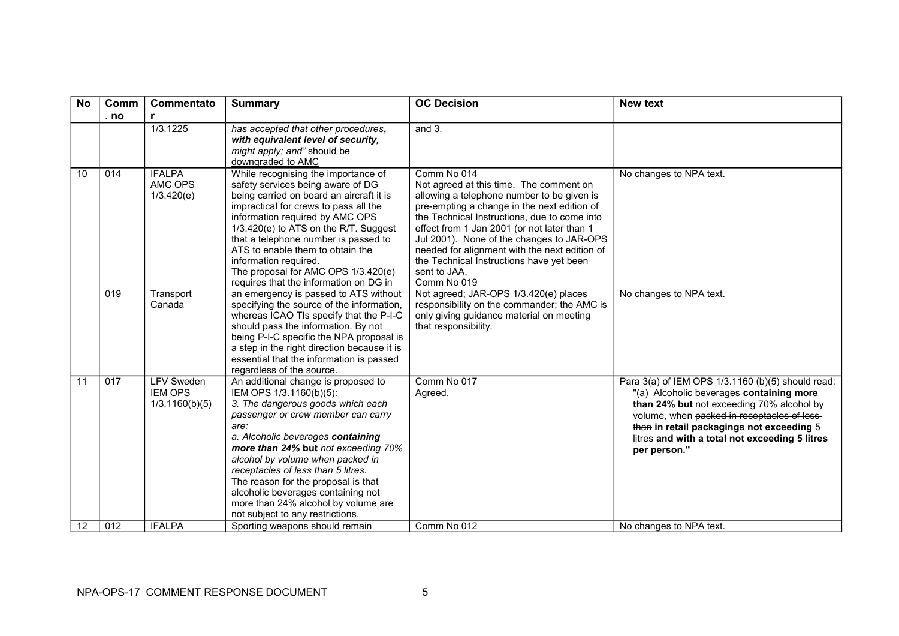| <b>No</b> | Comm       | Commentato                                                             | <b>Summary</b>                                                                                                                                                                                                                                                                                                                                                                                                                                                                                                                                                                                                                                                                                                                                 | <b>OC Decision</b>                                                                                                                                                                                                                                                                                                                                                                                                                                                                                                                                                                      | <b>New text</b>                                                                                                                                                                                                                                                                                                                     |
|-----------|------------|------------------------------------------------------------------------|------------------------------------------------------------------------------------------------------------------------------------------------------------------------------------------------------------------------------------------------------------------------------------------------------------------------------------------------------------------------------------------------------------------------------------------------------------------------------------------------------------------------------------------------------------------------------------------------------------------------------------------------------------------------------------------------------------------------------------------------|-----------------------------------------------------------------------------------------------------------------------------------------------------------------------------------------------------------------------------------------------------------------------------------------------------------------------------------------------------------------------------------------------------------------------------------------------------------------------------------------------------------------------------------------------------------------------------------------|-------------------------------------------------------------------------------------------------------------------------------------------------------------------------------------------------------------------------------------------------------------------------------------------------------------------------------------|
|           | . no       | r                                                                      |                                                                                                                                                                                                                                                                                                                                                                                                                                                                                                                                                                                                                                                                                                                                                |                                                                                                                                                                                                                                                                                                                                                                                                                                                                                                                                                                                         |                                                                                                                                                                                                                                                                                                                                     |
|           |            | 1/3.1225                                                               | has accepted that other procedures,<br>with equivalent level of security,<br>might apply; and" should be<br>downgraded to AMC                                                                                                                                                                                                                                                                                                                                                                                                                                                                                                                                                                                                                  | and $3.$                                                                                                                                                                                                                                                                                                                                                                                                                                                                                                                                                                                |                                                                                                                                                                                                                                                                                                                                     |
| 10        | 014<br>019 | <b>IFALPA</b><br>AMC OPS<br>1/3.420(e)<br>Transport<br>Canada          | While recognising the importance of<br>safety services being aware of DG<br>being carried on board an aircraft it is<br>impractical for crews to pass all the<br>information required by AMC OPS<br>1/3.420(e) to ATS on the R/T. Suggest<br>that a telephone number is passed to<br>ATS to enable them to obtain the<br>information required.<br>The proposal for AMC OPS 1/3.420(e)<br>requires that the information on DG in<br>an emergency is passed to ATS without<br>specifying the source of the information,<br>whereas ICAO TIs specify that the P-I-C<br>should pass the information. By not<br>being P-I-C specific the NPA proposal is<br>a step in the right direction because it is<br>essential that the information is passed | Comm No 014<br>Not agreed at this time. The comment on<br>allowing a telephone number to be given is<br>pre-empting a change in the next edition of<br>the Technical Instructions, due to come into<br>effect from 1 Jan 2001 (or not later than 1<br>Jul 2001). None of the changes to JAR-OPS<br>needed for alignment with the next edition of<br>the Technical Instructions have yet been<br>sent to JAA.<br>Comm No 019<br>Not agreed; JAR-OPS 1/3.420(e) places<br>responsibility on the commander; the AMC is<br>only giving guidance material on meeting<br>that responsibility. | No changes to NPA text.<br>No changes to NPA text.                                                                                                                                                                                                                                                                                  |
| 11<br>12  | 017<br>012 | <b>LFV Sweden</b><br><b>IEM OPS</b><br>1/3.1160(b)(5)<br><b>IFALPA</b> | regardless of the source.<br>An additional change is proposed to<br>IEM OPS 1/3.1160(b)(5):<br>3. The dangerous goods which each<br>passenger or crew member can carry<br>are:<br>a. Alcoholic beverages containing<br>more than 24% but not exceeding 70%<br>alcohol by volume when packed in<br>receptacles of less than 5 litres.<br>The reason for the proposal is that<br>alcoholic beverages containing not<br>more than 24% alcohol by volume are<br>not subject to any restrictions.<br>Sporting weapons should remain                                                                                                                                                                                                                 | Comm No 017<br>Agreed.<br>Comm No 012                                                                                                                                                                                                                                                                                                                                                                                                                                                                                                                                                   | Para 3(a) of IEM OPS 1/3.1160 (b)(5) should read:<br>"(a) Alcoholic beverages containing more<br>than 24% but not exceeding 70% alcohol by<br>volume, when packed in receptacles of less-<br>than in retail packagings not exceeding 5<br>litres and with a total not exceeding 5 litres<br>per person."<br>No changes to NPA text. |